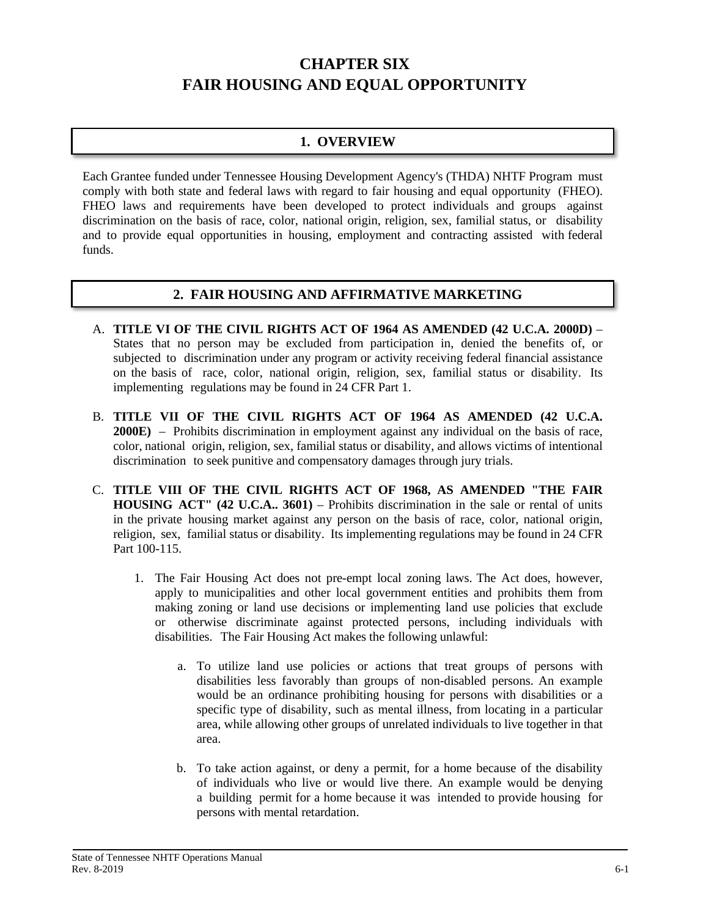# **CHAPTER SIX FAIR HOUSING AND EQUAL OPPORTUNITY**

## **1. OVERVIEW**

Each Grantee funded under Tennessee Housing Development Agency's (THDA) NHTF Program must comply with both state and federal laws with regard to fair housing and equal opportunity (FHEO). FHEO laws and requirements have been developed to protect individuals and groups against discrimination on the basis of race, color, national origin, religion, sex, familial status, or disability and to provide equal opportunities in housing, employment and contracting assisted with federal funds.

### **2. FAIR HOUSING AND AFFIRMATIVE MARKETING**

- A. **TITLE VI OF THE CIVIL RIGHTS ACT OF 1964 AS AMENDED (42 U.C.A. 2000D)** States that no person may be excluded from participation in, denied the benefits of, or subjected to discrimination under any program or activity receiving federal financial assistance on the basis of race, color, national origin, religion, sex, familial status or disability. Its implementing regulations may be found in 24 CFR Part 1.
- B. **TITLE VII OF THE CIVIL RIGHTS ACT OF 1964 AS AMENDED (42 U.C.A. 2000E)** – Prohibits discrimination in employment against any individual on the basis of race, color, national origin, religion, sex, familial status or disability, and allows victims of intentional discrimination to seek punitive and compensatory damages through jury trials.
- C. **TITLE VIII OF THE CIVIL RIGHTS ACT OF 1968, AS AMENDED "THE FAIR HOUSING ACT" (42 U.C.A.. 3601)** – Prohibits discrimination in the sale or rental of units in the private housing market against any person on the basis of race, color, national origin, religion, sex, familial status or disability. Its implementing regulations may be found in 24 CFR Part 100-115.
	- 1. The Fair Housing Act does not pre-empt local zoning laws. The Act does, however, apply to municipalities and other local government entities and prohibits them from making zoning or land use decisions or implementing land use policies that exclude or otherwise discriminate against protected persons, including individuals with disabilities. The Fair Housing Act makes the following unlawful:
		- a. To utilize land use policies or actions that treat groups of persons with disabilities less favorably than groups of non-disabled persons. An example would be an ordinance prohibiting housing for persons with disabilities or a specific type of disability, such as mental illness, from locating in a particular area, while allowing other groups of unrelated individuals to live together in that area.
		- b. To take action against, or deny a permit, for a home because of the disability of individuals who live or would live there. An example would be denying a building permit for a home because it was intended to provide housing for persons with mental retardation.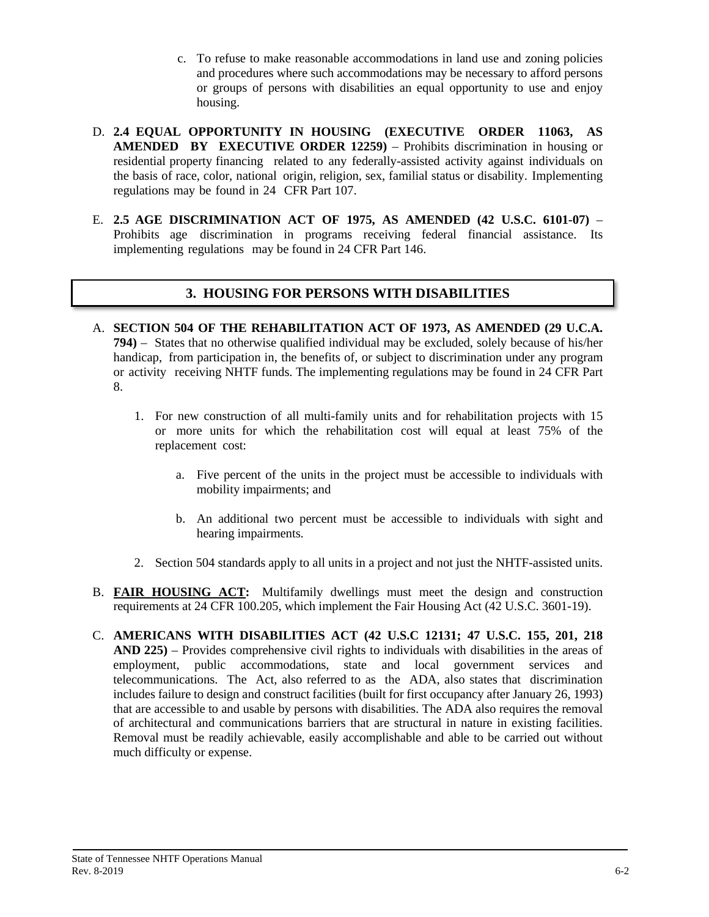- c. To refuse to make reasonable accommodations in land use and zoning policies and procedures where such accommodations may be necessary to afford persons or groups of persons with disabilities an equal opportunity to use and enjoy housing.
- D. **2.4 EQUAL OPPORTUNITY IN HOUSING (EXECUTIVE ORDER 11063, AS AMENDED BY EXECUTIVE ORDER 12259)** – Prohibits discrimination in housing or residential property financing related to any federally-assisted activity against individuals on the basis of race, color, national origin, religion, sex, familial status or disability. Implementing regulations may be found in 24 CFR Part 107.
- E. **2.5 AGE DISCRIMINATION ACT OF 1975, AS AMENDED (42 U.S.C. 6101-07)** Prohibits age discrimination in programs receiving federal financial assistance. Its implementing regulations may be found in 24 CFR Part 146.

### **3. HOUSING FOR PERSONS WITH DISABILITIES**

- A. **SECTION 504 OF THE REHABILITATION ACT OF 1973, AS AMENDED (29 U.C.A. 794)** – States that no otherwise qualified individual may be excluded, solely because of his/her handicap, from participation in, the benefits of, or subject to discrimination under any program or activity receiving NHTF funds. The implementing regulations may be found in 24 CFR Part 8.
	- 1. For new construction of all multi-family units and for rehabilitation projects with 15 or more units for which the rehabilitation cost will equal at least 75% of the replacement cost:
		- a. Five percent of the units in the project must be accessible to individuals with mobility impairments; and
		- b. An additional two percent must be accessible to individuals with sight and hearing impairments.
	- 2. Section 504 standards apply to all units in a project and not just the NHTF-assisted units.
- B. **FAIR HOUSING ACT:** Multifamily dwellings must meet the design and construction requirements at 24 CFR 100.205, which implement the Fair Housing Act (42 U.S.C. 3601-19).
- C. **AMERICANS WITH DISABILITIES ACT (42 U.S.C 12131; 47 U.S.C. 155, 201, 218 AND 225)** – Provides comprehensive civil rights to individuals with disabilities in the areas of employment, public accommodations, state and local government services and telecommunications. The Act, also referred to as the ADA, also states that discrimination includes failure to design and construct facilities (built for first occupancy after January 26, 1993) that are accessible to and usable by persons with disabilities. The ADA also requires the removal of architectural and communications barriers that are structural in nature in existing facilities. Removal must be readily achievable, easily accomplishable and able to be carried out without much difficulty or expense.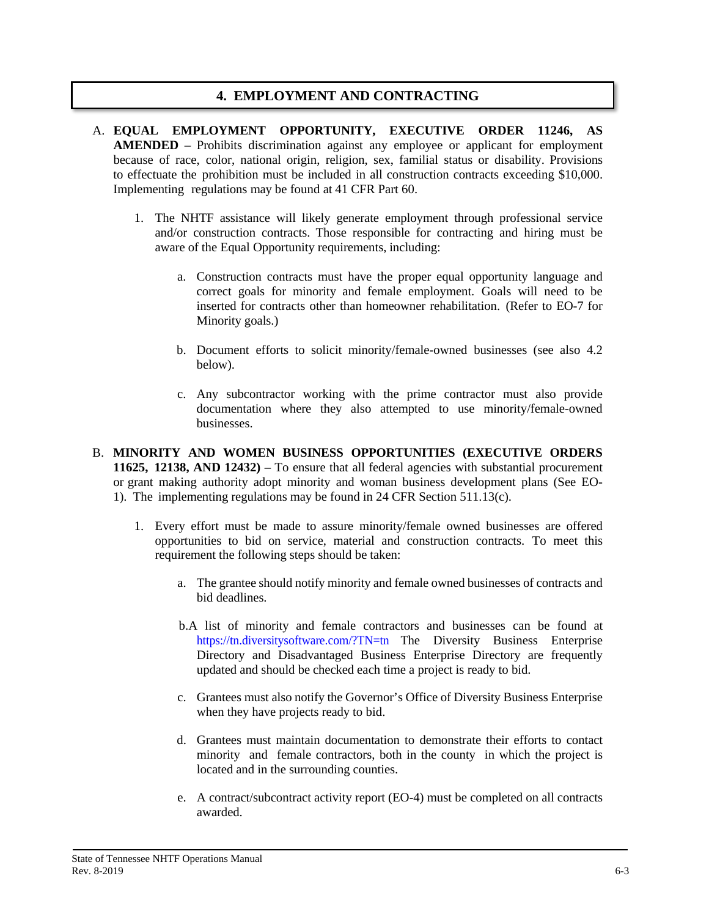## **4. EMPLOYMENT AND CONTRACTING**

- A. **EQUAL EMPLOYMENT OPPORTUNITY, EXECUTIVE ORDER 11246, AS AMENDED** – Prohibits discrimination against any employee or applicant for employment because of race, color, national origin, religion, sex, familial status or disability. Provisions to effectuate the prohibition must be included in all construction contracts exceeding \$10,000. Implementing regulations may be found at 41 CFR Part 60.
	- 1. The NHTF assistance will likely generate employment through professional service and/or construction contracts. Those responsible for contracting and hiring must be aware of the Equal Opportunity requirements, including:
		- a. Construction contracts must have the proper equal opportunity language and correct goals for minority and female employment. Goals will need to be inserted for contracts other than homeowner rehabilitation. (Refer to EO-7 for Minority goals.)
		- b. Document efforts to solicit minority/female-owned businesses (see also 4.2 below).
		- c. Any subcontractor working with the prime contractor must also provide documentation where they also attempted to use minority/female-owned businesses.
- B. **MINORITY AND WOMEN BUSINESS OPPORTUNITIES (EXECUTIVE ORDERS 11625, 12138, AND 12432)** – To ensure that all federal agencies with substantial procurement or grant making authority adopt minority and woman business development plans (See EO-1). The implementing regulations may be found in 24 CFR Section 511.13(c).
	- 1. Every effort must be made to assure minority/female owned businesses are offered opportunities to bid on service, material and construction contracts. To meet this requirement the following steps should be taken:
		- a. The grantee should notify minority and female owned businesses of contracts and bid deadlines.
		- b.A list of minority and female contractors and businesses can be found at <https://tn.diversitysoftware.com/?TN=tn> The Diversity Business Enterprise Directory and Disadvantaged Business Enterprise Directory are frequently updated and should be checked each time a project is ready to bid.
		- c. Grantees must also notify the Governor's Office of Diversity Business Enterprise when they have projects ready to bid.
		- d. Grantees must maintain documentation to demonstrate their efforts to contact minority and female contractors, both in the county in which the project is located and in the surrounding counties.
		- e. A contract/subcontract activity report (EO-4) must be completed on all contracts awarded.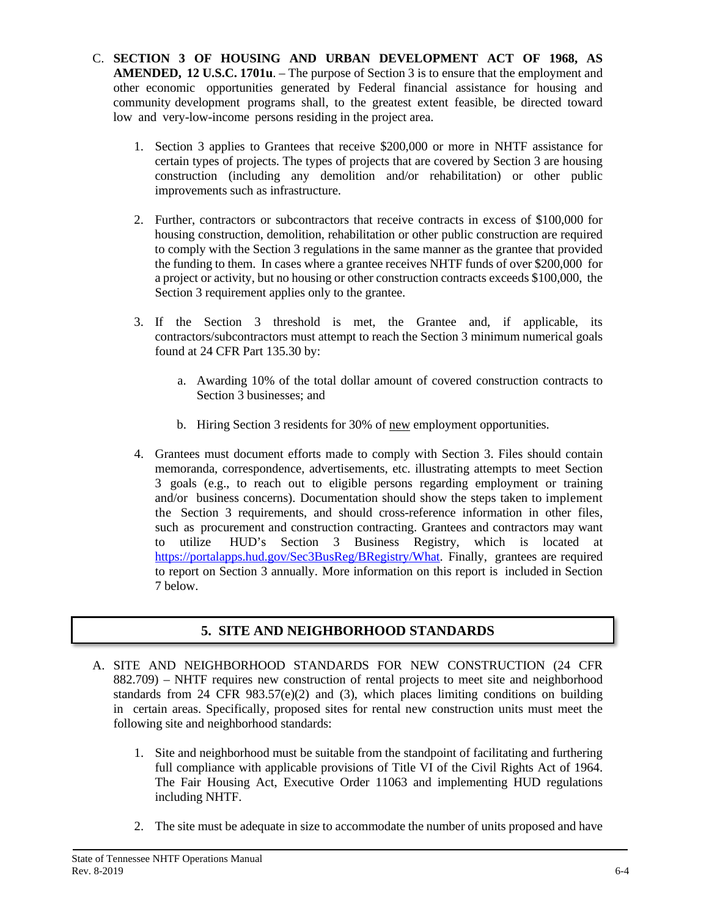- C. **SECTION 3 OF HOUSING AND URBAN DEVELOPMENT ACT OF 1968, AS AMENDED, 12 U.S.C. 1701u**. – The purpose of Section 3 is to ensure that the employment and other economic opportunities generated by Federal financial assistance for housing and community development programs shall, to the greatest extent feasible, be directed toward low and very-low-income persons residing in the project area.
	- 1. Section 3 applies to Grantees that receive \$200,000 or more in NHTF assistance for certain types of projects. The types of projects that are covered by Section 3 are housing construction (including any demolition and/or rehabilitation) or other public improvements such as infrastructure.
	- 2. Further, contractors or subcontractors that receive contracts in excess of \$100,000 for housing construction, demolition, rehabilitation or other public construction are required to comply with the Section 3 regulations in the same manner as the grantee that provided the funding to them. In cases where a grantee receives NHTF funds of over \$200,000 for a project or activity, but no housing or other construction contracts exceeds \$100,000, the Section 3 requirement applies only to the grantee.
	- 3. If the Section 3 threshold is met, the Grantee and, if applicable, its contractors/subcontractors must attempt to reach the Section 3 minimum numerical goals found at 24 CFR Part 135.30 by:
		- a. Awarding 10% of the total dollar amount of covered construction contracts to Section 3 businesses; and
		- b. Hiring Section 3 residents for 30% of new employment opportunities.
	- 4. Grantees must document efforts made to comply with Section 3. Files should contain memoranda, correspondence, advertisements, etc. illustrating attempts to meet Section 3 goals (e.g., to reach out to eligible persons regarding employment or training and/or business concerns). Documentation should show the steps taken to implement the Section 3 requirements, and should cross-reference information in other files, such as procurement and construction contracting. Grantees and contractors may want to utilize HUD's Section 3 Business Registry, which is located at [https://portalapps.hud.gov/Sec3BusReg/BRegistry/What.](http://www.hud.gov/sec3biz) Finally, grantees are required to report on Section 3 annually. More information on this report is included in Section 7 below.

# **5. SITE AND NEIGHBORHOOD STANDARDS**

- A. SITE AND NEIGHBORHOOD STANDARDS FOR NEW CONSTRUCTION (24 CFR 882.709) – NHTF requires new construction of rental projects to meet site and neighborhood standards from 24 CFR 983.57(e)(2) and (3), which places limiting conditions on building in certain areas. Specifically, proposed sites for rental new construction units must meet the following site and neighborhood standards:
	- 1. Site and neighborhood must be suitable from the standpoint of facilitating and furthering full compliance with applicable provisions of Title VI of the Civil Rights Act of 1964. The Fair Housing Act, Executive Order 11063 and implementing HUD regulations including NHTF.
	- 2. The site must be adequate in size to accommodate the number of units proposed and have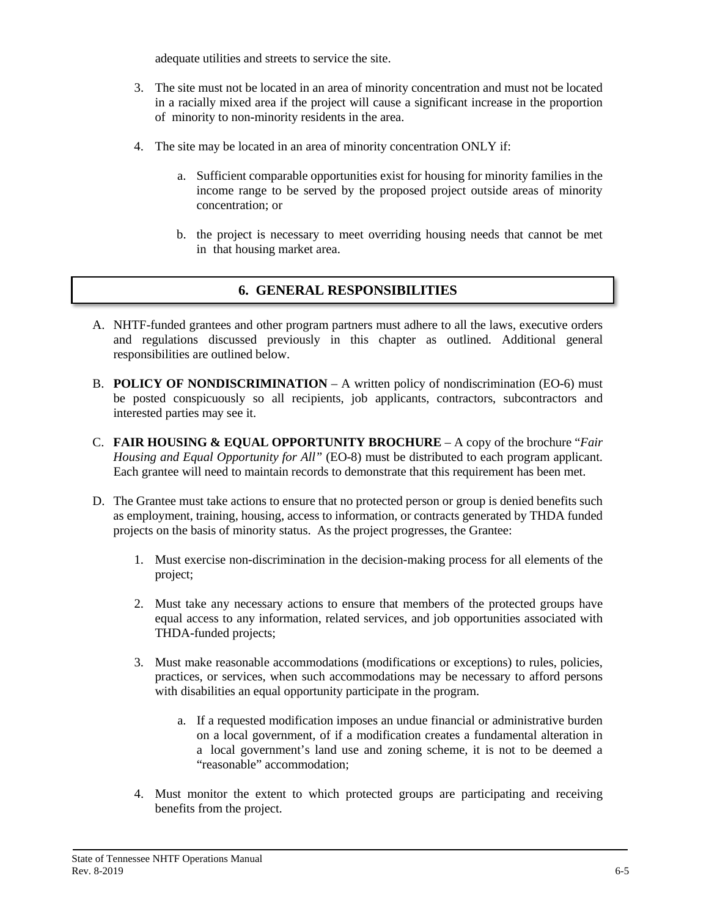adequate utilities and streets to service the site.

- 3. The site must not be located in an area of minority concentration and must not be located in a racially mixed area if the project will cause a significant increase in the proportion of minority to non-minority residents in the area.
- 4. The site may be located in an area of minority concentration ONLY if:
	- a. Sufficient comparable opportunities exist for housing for minority families in the income range to be served by the proposed project outside areas of minority concentration; or
	- b. the project is necessary to meet overriding housing needs that cannot be met in that housing market area.

# **6. GENERAL RESPONSIBILITIES**

- A. NHTF-funded grantees and other program partners must adhere to all the laws, executive orders and regulations discussed previously in this chapter as outlined. Additional general responsibilities are outlined below.
- B. **POLICY OF NONDISCRIMINATION** A written policy of nondiscrimination (EO-6) must be posted conspicuously so all recipients, job applicants, contractors, subcontractors and interested parties may see it.
- C. **FAIR HOUSING & EQUAL OPPORTUNITY BROCHURE** A copy of the brochure "*Fair Housing and Equal Opportunity for All"* (EO-8) must be distributed to each program applicant. Each grantee will need to maintain records to demonstrate that this requirement has been met.
- D. The Grantee must take actions to ensure that no protected person or group is denied benefits such as employment, training, housing, access to information, or contracts generated by THDA funded projects on the basis of minority status. As the project progresses, the Grantee:
	- 1. Must exercise non-discrimination in the decision-making process for all elements of the project;
	- 2. Must take any necessary actions to ensure that members of the protected groups have equal access to any information, related services, and job opportunities associated with THDA-funded projects;
	- 3. Must make reasonable accommodations (modifications or exceptions) to rules, policies, practices, or services, when such accommodations may be necessary to afford persons with disabilities an equal opportunity participate in the program.
		- a. If a requested modification imposes an undue financial or administrative burden on a local government, of if a modification creates a fundamental alteration in a local government's land use and zoning scheme, it is not to be deemed a "reasonable" accommodation;
	- 4. Must monitor the extent to which protected groups are participating and receiving benefits from the project.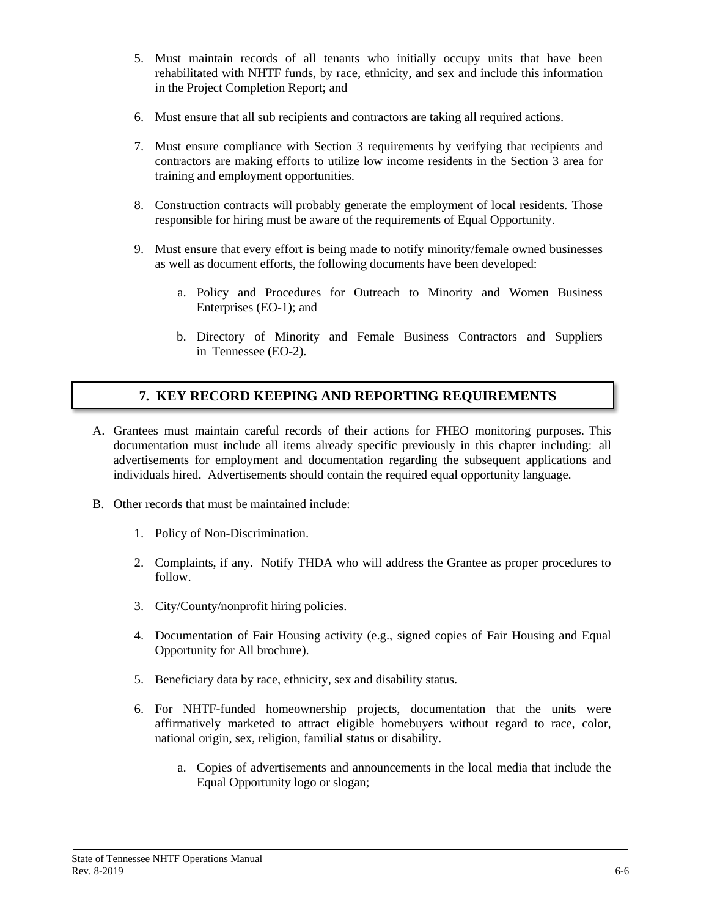- 5. Must maintain records of all tenants who initially occupy units that have been rehabilitated with NHTF funds, by race, ethnicity, and sex and include this information in the Project Completion Report; and
- 6. Must ensure that all sub recipients and contractors are taking all required actions.
- 7. Must ensure compliance with Section 3 requirements by verifying that recipients and contractors are making efforts to utilize low income residents in the Section 3 area for training and employment opportunities.
- 8. Construction contracts will probably generate the employment of local residents. Those responsible for hiring must be aware of the requirements of Equal Opportunity.
- 9. Must ensure that every effort is being made to notify minority/female owned businesses as well as document efforts, the following documents have been developed:
	- a. Policy and Procedures for Outreach to Minority and Women Business Enterprises (EO-1); and
	- b. Directory of Minority and Female Business Contractors and Suppliers in Tennessee (EO-2).

### **7. KEY RECORD KEEPING AND REPORTING REQUIREMENTS**

- A. Grantees must maintain careful records of their actions for FHEO monitoring purposes. This documentation must include all items already specific previously in this chapter including: all advertisements for employment and documentation regarding the subsequent applications and individuals hired. Advertisements should contain the required equal opportunity language.
- B. Other records that must be maintained include:
	- 1. Policy of Non-Discrimination.
	- 2. Complaints, if any. Notify THDA who will address the Grantee as proper procedures to follow.
	- 3. City/County/nonprofit hiring policies.
	- 4. Documentation of Fair Housing activity (e.g., signed copies of Fair Housing and Equal Opportunity for All brochure).
	- 5. Beneficiary data by race, ethnicity, sex and disability status.
	- 6. For NHTF-funded homeownership projects, documentation that the units were affirmatively marketed to attract eligible homebuyers without regard to race, color, national origin, sex, religion, familial status or disability.
		- a. Copies of advertisements and announcements in the local media that include the Equal Opportunity logo or slogan;